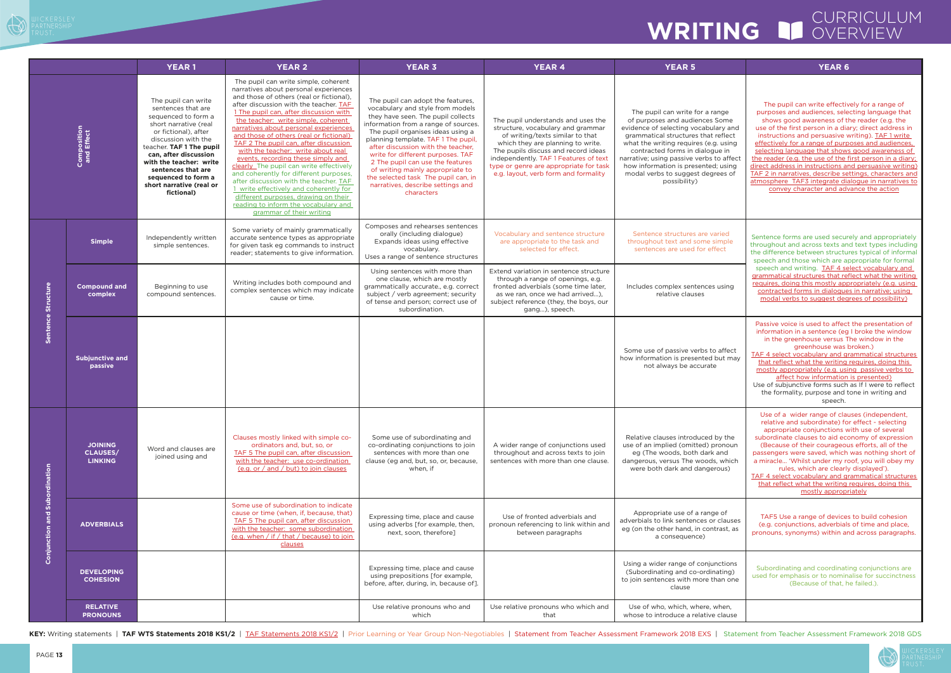## CURRICULUM WRITING **IS OVERVIEW**

## iome ry and aflect using re in l affect using ees of The pupil can write effectively for a range of purposes and audiences, selecting language that shows good awareness of the reader (e.g. the use of the first person in a diary; direct address in instructions and persuasive writing). **TAF 1 write** effectively for a range of purposes and audiences, selecting language that shows good awareness of the reader (e.g. the use of the first person in a diary direct address in instructions and persuasive writing) TAF 2 in narratives, describe settings, characters and atmosphere TAF3 integrate dialogue in narratives to convey character and advance the action ied mple<br>ect Sentence forms are used securely and appropriately throughout and across texts and text types including the difference between structures typical of informal speech and those which are appropriate for formal speech and writing. TAF 4 select vocabulary and grammatical structures that reflect what the writing requires, doing this mostly appropriately (e.g. using contracted forms in dialogues in narrative; using modal verbs to suggest degrees of possibility) Includes complex sentences using affect ut may Passive voice is used to affect the presentation of information in a sentence (eg I broke the window in the greenhouse versus The window in the greenhouse was broken.) TAF 4 select vocabulary and grammatical structures that reflect what the writing requires, doing this mostly appropriately (e.g. using passive verbs to affect how information is presented) Use of subjunctive forms such as If I were to reflect the formality, purpose and tone in writing and speech. v the onoun and which ous) Use of a wider range of clauses (independent, relative and subordinate) for effect - selecting appropriate conjunctions with use of several subordinate clauses to aid economy of expression (Because of their courageous efforts, all of the passengers were saved, which was nothing short of a miracle... 'Whilst under my roof, you will obey my rules, which are clearly displayed'). TAF 4 select vocabulary and grammatical structures that reflect what the writing requires, doing this mostly appropriately dauses ast, as TAF5 Use a range of devices to build cohesion (e.g. conjunctions, adverbials of time and place, pronouns, synonyms) within and across paragraphs. ctions **c** (ting an one Subordinating and coordinating conjunctions are used for emphasis or to nominalise for succinctness (Because of that, he failed.). hen, clause



| The pupil can write simple, coherent<br>narratives about personal experiences<br>and those of others (real or fictional),<br>The pupil can write<br>The pupil can adopt the features,<br>after discussion with the teacher. TAF<br>sentences that are<br>vocabulary and style from models<br>1 The pupil can, after discussion with<br>The pupil can write for a range<br>sequenced to form a<br>they have seen. The pupil collects<br>the teacher: write simple, coherent<br>of purposes and audiences Some<br>The pupil understands and uses the<br>short narrative (real<br>information from a range of sources.<br>evidence of selecting vocabulary and<br>narratives about personal experiences<br>structure, vocabulary and grammar<br><b>Composition</b><br>and Effect<br>or fictional), after<br>The pupil organises ideas using a<br>of writing/texts similar to that<br>grammatical structures that reflect<br>and those of others (real or fictional)<br>discussion with the<br>planning template. TAF 1 The pupil,<br>TAF 2 The pupil can, after discussion<br>which they are planning to write.<br>what the writing requires (e.g. using<br>teacher. TAF 1 The pupil<br>after discussion with the teacher,<br>with the teacher: write about real<br>The pupils discuss and record ideas<br>contracted forms in dialogue in<br>write for different purposes. TAF<br>can, after discussion<br>events, recording these simply and<br>independently. TAF 1 Features of text<br>narrative; using passive verbs to affect<br>with the teacher: write<br>2 The pupil can use the features<br>clearly_The pupil can write effectively<br>type or genre are appropriate for task<br>how information is presented; using<br>sentences that are<br>of writing mainly appropriate to<br>and coherently for different purposes,<br>e.g. layout, verb form and formality<br>modal verbs to suggest degrees of<br>sequenced to form a<br>the selected task The pupil can, in<br>after discussion with the teacher. TAF<br>possibility)<br>short narrative (real or<br>narratives, describe settings and<br>1 write effectively and coherently for<br>fictional)<br>characters<br>different purposes, drawing on their<br>reading to inform the vocabulary and<br>grammar of their writing<br>Composes and rehearses sentences<br>Some variety of mainly grammatically<br>orally (including dialogue)<br>Vocabulary and sentence structure<br>Sentence structures are varied<br>Independently written<br>accurate sentence types as appropriate<br>Expands ideas using effective<br>are appropriate to the task and<br>throughout text and some simple<br><b>Simple</b><br>simple sentences.<br>for given task eg commands to instruct<br>selected for effect.<br>sentences are used for effect<br>vocabulary.<br>reader; statements to give information.<br>Uses a range of sentence structures<br>Using sentences with more than<br>Extend variation in sentence structure<br>one clause, which are mostly<br>through a range of openings, e.g.<br>Writing includes both compound and<br>Sentence Structure<br><b>Compound and</b><br>grammatically accurate., e.g. correct<br>fronted adverbials (some time later,<br>Includes complex sentences using<br>Beginning to use<br>complex sentences which may indicate<br>compound sentences.<br>subject / verb agreement; security<br>relative clauses<br>complex<br>as we ran, once we had arrived),<br>cause or time.<br>of tense and person; correct use of<br>subject reference (they, the boys, our<br>subordination.<br>gang), speech.<br>Some use of passive verbs to affect<br><b>Subjunctive and</b><br>how information is presented but may<br>passive<br>not always be accurate<br>Clauses mostly linked with simple co-<br>Some use of subordinating and<br>Relative clauses introduced by the<br><b>JOINING</b><br>ordinators and, but, so, or<br>co-ordinating conjunctions to join<br>A wider range of conjunctions used<br>use of an implied (omitted) pronoun<br>Word and clauses are<br><b>CLAUSES/</b><br>TAF 5 The pupil can, after discussion<br>sentences with more than one<br>throughout and across texts to join<br>eg (The woods, both dark and<br>joined using and<br><b>LINKING</b><br>with the teacher: use co-ordination<br>clause (eg and, but, so, or, because,<br>sentences with more than one clause.<br>dangerous, versus The woods, which<br>Subordination<br>(e.g. or / and / but) to join clauses<br>when, if<br>were both dark and dangerous)<br>Some use of subordination to indicate<br>Appropriate use of a range of<br>cause or time (when, if, because, that)<br>and<br>Use of fronted adverbials and<br>Expressing time, place and cause<br>adverbials to link sentences or clauses<br>TAF 5 The pupil can, after discussion<br><b>ADVERBIALS</b><br>using adverbs [for example, then,<br>pronoun referencing to link within and<br>Conjunction<br>eg (on the other hand, in contrast, as<br>with the teacher: some subordination<br>next, soon, therefore]<br>between paragraphs<br>(e.g. when / if / that / because) to join<br>a consequence)<br>clauses<br>Using a wider range of conjunctions<br>Expressing time, place and cause<br><b>DEVELOPING</b><br>(Subordinating and co-ordinating)<br>using prepositions [for example,<br><b>COHESION</b><br>to join sentences with more than one<br>before, after, during, in, because of].<br>clause<br><b>RELATIVE</b><br>Use of who, which, where, when,<br>Use relative pronouns who and<br>Use relative pronouns who which and<br><b>PRONOUNS</b><br>which<br>that<br>whose to introduce a relative clause |  | <b>YEAR1</b> | <b>YEAR 2</b> | <b>YEAR 3</b> | <b>YEAR 4</b> | <b>YEAR 5</b> | <b>YEAR6</b>                                                                                                                                                                                                                                                                                                                                                                                                |
|----------------------------------------------------------------------------------------------------------------------------------------------------------------------------------------------------------------------------------------------------------------------------------------------------------------------------------------------------------------------------------------------------------------------------------------------------------------------------------------------------------------------------------------------------------------------------------------------------------------------------------------------------------------------------------------------------------------------------------------------------------------------------------------------------------------------------------------------------------------------------------------------------------------------------------------------------------------------------------------------------------------------------------------------------------------------------------------------------------------------------------------------------------------------------------------------------------------------------------------------------------------------------------------------------------------------------------------------------------------------------------------------------------------------------------------------------------------------------------------------------------------------------------------------------------------------------------------------------------------------------------------------------------------------------------------------------------------------------------------------------------------------------------------------------------------------------------------------------------------------------------------------------------------------------------------------------------------------------------------------------------------------------------------------------------------------------------------------------------------------------------------------------------------------------------------------------------------------------------------------------------------------------------------------------------------------------------------------------------------------------------------------------------------------------------------------------------------------------------------------------------------------------------------------------------------------------------------------------------------------------------------------------------------------------------------------------------------------------------------------------------------------------------------------------------------------------------------------------------------------------------------------------------------------------------------------------------------------------------------------------------------------------------------------------------------------------------------------------------------------------------------------------------------------------------------------------------------------------------------------------------------------------------------------------------------------------------------------------------------------------------------------------------------------------------------------------------------------------------------------------------------------------------------------------------------------------------------------------------------------------------------------------------------------------------------------------------------------------------------------------------------------------------------------------------------------------------------------------------------------------------------------------------------------------------------------------------------------------------------------------------------------------------------------------------------------------------------------------------------------------------------------------------------------------------------------------------------------------------------------------------------------------------------------------------------------------------------------------------------------------------------------------------------------------------------------------------------------------------------------------------------------------------------------------------------------------------------------------------------------------------------------------------------------------------------------------------------------------------------------------------------------------------------------------------------------------------------------------------------------------------------------------------------------------------------------------------------------------------------------------------------------------------------------------------------------------------------------------------------------------------------------------------------------------------------------------------------------------------------------------------------------------------------------------------------------------------------------------------------------------------------------------------------------------------------------------------------------------------------------------------------------------------------------------------------------------------------------------------------------------------------------------------|--|--------------|---------------|---------------|---------------|---------------|-------------------------------------------------------------------------------------------------------------------------------------------------------------------------------------------------------------------------------------------------------------------------------------------------------------------------------------------------------------------------------------------------------------|
|                                                                                                                                                                                                                                                                                                                                                                                                                                                                                                                                                                                                                                                                                                                                                                                                                                                                                                                                                                                                                                                                                                                                                                                                                                                                                                                                                                                                                                                                                                                                                                                                                                                                                                                                                                                                                                                                                                                                                                                                                                                                                                                                                                                                                                                                                                                                                                                                                                                                                                                                                                                                                                                                                                                                                                                                                                                                                                                                                                                                                                                                                                                                                                                                                                                                                                                                                                                                                                                                                                                                                                                                                                                                                                                                                                                                                                                                                                                                                                                                                                                                                                                                                                                                                                                                                                                                                                                                                                                                                                                                                                                                                                                                                                                                                                                                                                                                                                                                                                                                                                                                                                                                                                                                                                                                                                                                                                                                                                                                                                                                                                                                                                                          |  |              |               |               |               |               | The pupil can write effectiv<br>purposes and audiences, sele<br>shows good awareness of t<br>use of the first person in a dia<br>instructions and persuasive v<br>effectively for a range of purp<br>selecting language that show<br>the reader (e.g. the use of the<br>direct address in instructions are<br>TAF 2 in narratives, describe se<br>atmosphere TAF3 integrate dia<br>convey character and adv |
|                                                                                                                                                                                                                                                                                                                                                                                                                                                                                                                                                                                                                                                                                                                                                                                                                                                                                                                                                                                                                                                                                                                                                                                                                                                                                                                                                                                                                                                                                                                                                                                                                                                                                                                                                                                                                                                                                                                                                                                                                                                                                                                                                                                                                                                                                                                                                                                                                                                                                                                                                                                                                                                                                                                                                                                                                                                                                                                                                                                                                                                                                                                                                                                                                                                                                                                                                                                                                                                                                                                                                                                                                                                                                                                                                                                                                                                                                                                                                                                                                                                                                                                                                                                                                                                                                                                                                                                                                                                                                                                                                                                                                                                                                                                                                                                                                                                                                                                                                                                                                                                                                                                                                                                                                                                                                                                                                                                                                                                                                                                                                                                                                                                          |  |              |               |               |               |               | Sentence forms are used secur<br>throughout and across texts an<br>the difference between structu<br>speech and those which are a<br>speech and writing. TAF 4 se<br>grammatical structures that re-<br>requires, doing this mostly app<br>contracted forms in dialogue<br>modal verbs to suggest deg                                                                                                       |
|                                                                                                                                                                                                                                                                                                                                                                                                                                                                                                                                                                                                                                                                                                                                                                                                                                                                                                                                                                                                                                                                                                                                                                                                                                                                                                                                                                                                                                                                                                                                                                                                                                                                                                                                                                                                                                                                                                                                                                                                                                                                                                                                                                                                                                                                                                                                                                                                                                                                                                                                                                                                                                                                                                                                                                                                                                                                                                                                                                                                                                                                                                                                                                                                                                                                                                                                                                                                                                                                                                                                                                                                                                                                                                                                                                                                                                                                                                                                                                                                                                                                                                                                                                                                                                                                                                                                                                                                                                                                                                                                                                                                                                                                                                                                                                                                                                                                                                                                                                                                                                                                                                                                                                                                                                                                                                                                                                                                                                                                                                                                                                                                                                                          |  |              |               |               |               |               |                                                                                                                                                                                                                                                                                                                                                                                                             |
|                                                                                                                                                                                                                                                                                                                                                                                                                                                                                                                                                                                                                                                                                                                                                                                                                                                                                                                                                                                                                                                                                                                                                                                                                                                                                                                                                                                                                                                                                                                                                                                                                                                                                                                                                                                                                                                                                                                                                                                                                                                                                                                                                                                                                                                                                                                                                                                                                                                                                                                                                                                                                                                                                                                                                                                                                                                                                                                                                                                                                                                                                                                                                                                                                                                                                                                                                                                                                                                                                                                                                                                                                                                                                                                                                                                                                                                                                                                                                                                                                                                                                                                                                                                                                                                                                                                                                                                                                                                                                                                                                                                                                                                                                                                                                                                                                                                                                                                                                                                                                                                                                                                                                                                                                                                                                                                                                                                                                                                                                                                                                                                                                                                          |  |              |               |               |               |               | Passive voice is used to affect<br>information in a sentence (eg<br>in the greenhouse versus T<br>greenhouse was<br>TAF 4 select vocabulary and g<br>that reflect what the writing<br>mostly appropriately (e.g. usi<br>affect how information<br>Use of subjunctive forms such<br>the formality, purpose and t<br>speech.                                                                                  |
|                                                                                                                                                                                                                                                                                                                                                                                                                                                                                                                                                                                                                                                                                                                                                                                                                                                                                                                                                                                                                                                                                                                                                                                                                                                                                                                                                                                                                                                                                                                                                                                                                                                                                                                                                                                                                                                                                                                                                                                                                                                                                                                                                                                                                                                                                                                                                                                                                                                                                                                                                                                                                                                                                                                                                                                                                                                                                                                                                                                                                                                                                                                                                                                                                                                                                                                                                                                                                                                                                                                                                                                                                                                                                                                                                                                                                                                                                                                                                                                                                                                                                                                                                                                                                                                                                                                                                                                                                                                                                                                                                                                                                                                                                                                                                                                                                                                                                                                                                                                                                                                                                                                                                                                                                                                                                                                                                                                                                                                                                                                                                                                                                                                          |  |              |               |               |               |               | Use of a wider range of clau<br>relative and subordinate) fo<br>appropriate conjunctions v<br>subordinate clauses to aid eco<br>(Because of their courageou<br>passengers were saved, which<br>a miracle 'Whilst under my ro<br>rules, which are clearly<br>TAF 4 select vocabulary and g<br>that reflect what the writing<br>mostly appropi                                                                |
|                                                                                                                                                                                                                                                                                                                                                                                                                                                                                                                                                                                                                                                                                                                                                                                                                                                                                                                                                                                                                                                                                                                                                                                                                                                                                                                                                                                                                                                                                                                                                                                                                                                                                                                                                                                                                                                                                                                                                                                                                                                                                                                                                                                                                                                                                                                                                                                                                                                                                                                                                                                                                                                                                                                                                                                                                                                                                                                                                                                                                                                                                                                                                                                                                                                                                                                                                                                                                                                                                                                                                                                                                                                                                                                                                                                                                                                                                                                                                                                                                                                                                                                                                                                                                                                                                                                                                                                                                                                                                                                                                                                                                                                                                                                                                                                                                                                                                                                                                                                                                                                                                                                                                                                                                                                                                                                                                                                                                                                                                                                                                                                                                                                          |  |              |               |               |               |               | TAF5 Use a range of device:<br>(e.g. conjunctions, adverbials<br>pronouns, synonyms) within are                                                                                                                                                                                                                                                                                                             |
|                                                                                                                                                                                                                                                                                                                                                                                                                                                                                                                                                                                                                                                                                                                                                                                                                                                                                                                                                                                                                                                                                                                                                                                                                                                                                                                                                                                                                                                                                                                                                                                                                                                                                                                                                                                                                                                                                                                                                                                                                                                                                                                                                                                                                                                                                                                                                                                                                                                                                                                                                                                                                                                                                                                                                                                                                                                                                                                                                                                                                                                                                                                                                                                                                                                                                                                                                                                                                                                                                                                                                                                                                                                                                                                                                                                                                                                                                                                                                                                                                                                                                                                                                                                                                                                                                                                                                                                                                                                                                                                                                                                                                                                                                                                                                                                                                                                                                                                                                                                                                                                                                                                                                                                                                                                                                                                                                                                                                                                                                                                                                                                                                                                          |  |              |               |               |               |               | Subordinating and coordinati<br>used for emphasis or to nomin<br>(Because of that, h                                                                                                                                                                                                                                                                                                                        |
|                                                                                                                                                                                                                                                                                                                                                                                                                                                                                                                                                                                                                                                                                                                                                                                                                                                                                                                                                                                                                                                                                                                                                                                                                                                                                                                                                                                                                                                                                                                                                                                                                                                                                                                                                                                                                                                                                                                                                                                                                                                                                                                                                                                                                                                                                                                                                                                                                                                                                                                                                                                                                                                                                                                                                                                                                                                                                                                                                                                                                                                                                                                                                                                                                                                                                                                                                                                                                                                                                                                                                                                                                                                                                                                                                                                                                                                                                                                                                                                                                                                                                                                                                                                                                                                                                                                                                                                                                                                                                                                                                                                                                                                                                                                                                                                                                                                                                                                                                                                                                                                                                                                                                                                                                                                                                                                                                                                                                                                                                                                                                                                                                                                          |  |              |               |               |               |               |                                                                                                                                                                                                                                                                                                                                                                                                             |

KEY: Writing statements | TAF WTS Statements 2018 KS1/2 | TAF Statements 2018 KS1/2 | Prior Learning or Year Group Non-Negotiables | Statement from Teacher Assessment Framework 2018 EXS | Statement from Teacher Assessment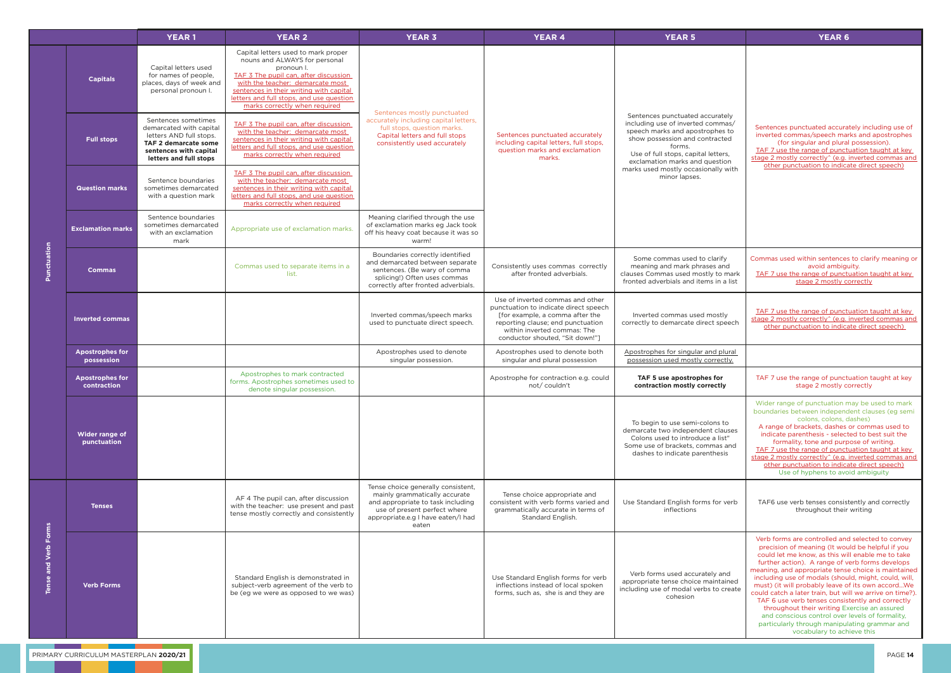|                            |                                       | <b>YEAR1</b>                                                                                                                                          | <b>YEAR 2</b>                                                                                                                                                                                                                                                                           | <b>YEAR 3</b>                                                                                                                                                                           | <b>YEAR 4</b>                                                                                                                                                                                                       | <b>YEAR 5</b>                                                                                                                                                                                                                                                                        | <b>YEAR 6</b>                                                                                                                                                                                                                                                                                                                                                                                                                                                                                                                                                                                                                                                                      |
|----------------------------|---------------------------------------|-------------------------------------------------------------------------------------------------------------------------------------------------------|-----------------------------------------------------------------------------------------------------------------------------------------------------------------------------------------------------------------------------------------------------------------------------------------|-----------------------------------------------------------------------------------------------------------------------------------------------------------------------------------------|---------------------------------------------------------------------------------------------------------------------------------------------------------------------------------------------------------------------|--------------------------------------------------------------------------------------------------------------------------------------------------------------------------------------------------------------------------------------------------------------------------------------|------------------------------------------------------------------------------------------------------------------------------------------------------------------------------------------------------------------------------------------------------------------------------------------------------------------------------------------------------------------------------------------------------------------------------------------------------------------------------------------------------------------------------------------------------------------------------------------------------------------------------------------------------------------------------------|
|                            | <b>Capitals</b>                       | Capital letters used<br>for names of people,<br>places, days of week and<br>personal pronoun I.                                                       | Capital letters used to mark proper<br>nouns and ALWAYS for personal<br>pronoun I.<br>TAF 3 The pupil can, after discussion<br>with the teacher: demarcate most<br>sentences in their writing with capital<br>letters and full stops, and use question<br>marks correctly when required | Sentences mostly punctuated                                                                                                                                                             |                                                                                                                                                                                                                     |                                                                                                                                                                                                                                                                                      | Sentences punctuated accurately including use of<br>inverted commas/speech marks and apostrophes<br>(for singular and plural possession).<br>TAF 7 use the range of punctuation taught at key<br>stage 2 mostly correctly^ (e.g. inverted commas and<br>other punctuation to indicate direct speech)                                                                                                                                                                                                                                                                                                                                                                               |
| Punctuation                | <b>Full stops</b>                     | Sentences sometimes<br>demarcated with capital<br>letters AND full stops.<br>TAF 2 demarcate some<br>sentences with capital<br>letters and full stops | TAF 3 The pupil can, after discussion<br>with the teacher: demarcate most<br>sentences in their writing with capital<br>letters and full stops, and use question<br>marks correctly when required                                                                                       | accurately including capital letters,<br>full stops, question marks.<br>Capital letters and full stops<br>consistently used accurately                                                  | Sentences punctuated accurately<br>including capital letters, full stops,<br>question marks and exclamation<br>marks.                                                                                               | Sentences punctuated accurately<br>including use of inverted commas/<br>speech marks and apostrophes to<br>show possession and contracted<br>forms.<br>Use of full stops, capital letters,<br>exclamation marks and question<br>marks used mostly occasionally with<br>minor lapses. |                                                                                                                                                                                                                                                                                                                                                                                                                                                                                                                                                                                                                                                                                    |
|                            | <b>Question marks</b>                 | Sentence boundaries<br>sometimes demarcated<br>with a question mark                                                                                   | TAF 3 The pupil can, after discussion<br>with the teacher: demarcate most<br>sentences in their writing with capital<br>letters and full stops, and use question<br>marks correctly when required                                                                                       |                                                                                                                                                                                         |                                                                                                                                                                                                                     |                                                                                                                                                                                                                                                                                      |                                                                                                                                                                                                                                                                                                                                                                                                                                                                                                                                                                                                                                                                                    |
|                            | <b>Exclamation marks</b>              | Sentence boundaries<br>sometimes demarcated<br>with an exclamation<br>mark                                                                            | Appropriate use of exclamation marks.                                                                                                                                                                                                                                                   | Meaning clarified through the use<br>of exclamation marks eg Jack took<br>off his heavy coat because it was so<br>warm!                                                                 |                                                                                                                                                                                                                     |                                                                                                                                                                                                                                                                                      |                                                                                                                                                                                                                                                                                                                                                                                                                                                                                                                                                                                                                                                                                    |
|                            | <b>Commas</b>                         |                                                                                                                                                       | Commas used to separate items in a<br>list.                                                                                                                                                                                                                                             | Boundaries correctly identified<br>and demarcated between separate<br>sentences. (Be wary of comma<br>splicing!) Often uses commas<br>correctly after fronted adverbials.               | Consistently uses commas correctly<br>after fronted adverbials.                                                                                                                                                     | Some commas used to clarify<br>meaning and mark phrases and<br>clauses Commas used mostly to mark<br>fronted adverbials and items in a list                                                                                                                                          | Commas used within sentences to clarify meaning or<br>avoid ambiguity.<br>TAF 7 use the range of punctuation taught at key<br>stage 2 mostly correctly                                                                                                                                                                                                                                                                                                                                                                                                                                                                                                                             |
|                            | <b>Inverted commas</b>                |                                                                                                                                                       |                                                                                                                                                                                                                                                                                         | Inverted commas/speech marks<br>used to punctuate direct speech.                                                                                                                        | Use of inverted commas and other<br>punctuation to indicate direct speech<br>[for example, a comma after the<br>reporting clause; end punctuation<br>within inverted commas: The<br>conductor shouted, "Sit down!"] | Inverted commas used mostly<br>correctly to demarcate direct speech                                                                                                                                                                                                                  | TAF 7 use the range of punctuation taught at key<br>stage 2 mostly correctly^ (e.g. inverted commas and<br>other punctuation to indicate direct speech)                                                                                                                                                                                                                                                                                                                                                                                                                                                                                                                            |
|                            | <b>Apostrophes for</b><br>possession  |                                                                                                                                                       |                                                                                                                                                                                                                                                                                         | Apostrophes used to denote<br>singular possession.                                                                                                                                      | Apostrophes used to denote both<br>singular and plural possession                                                                                                                                                   | Apostrophes for singular and plural<br>possession used mostly correctly.                                                                                                                                                                                                             |                                                                                                                                                                                                                                                                                                                                                                                                                                                                                                                                                                                                                                                                                    |
|                            | <b>Apostrophes for</b><br>contraction |                                                                                                                                                       | Apostrophes to mark contracted<br>forms. Apostrophes sometimes used to<br>denote singular possession.                                                                                                                                                                                   |                                                                                                                                                                                         | Apostrophe for contraction e.g. could<br>not/ couldn't                                                                                                                                                              | TAF 5 use apostrophes for<br>contraction mostly correctly                                                                                                                                                                                                                            | TAF 7 use the range of punctuation taught at key<br>stage 2 mostly correctly                                                                                                                                                                                                                                                                                                                                                                                                                                                                                                                                                                                                       |
|                            | Wider range of<br>punctuation         |                                                                                                                                                       |                                                                                                                                                                                                                                                                                         |                                                                                                                                                                                         |                                                                                                                                                                                                                     | To begin to use semi-colons to<br>demarcate two independent clauses<br>Colons used to introduce a list"<br>Some use of brackets, commas and<br>dashes to indicate parenthesis                                                                                                        | Wider range of punctuation may be used to mark<br>boundaries between independent clauses (eg semi<br>colons, colons, dashes)<br>A range of brackets, dashes or commas used to<br>indicate parenthesis - selected to best suit the<br>formality, tone and purpose of writing.<br>TAF 7 use the range of punctuation taught at key<br>stage 2 mostly correctly^ (e.g. inverted commas and<br>other punctuation to indicate direct speech)<br>Use of hyphens to avoid ambiguity                                                                                                                                                                                                       |
| Forms<br>and Verb<br>Tense | <b>Tenses</b>                         |                                                                                                                                                       | AF 4 The pupil can, after discussion<br>with the teacher: use present and past<br>tense mostly correctly and consistently                                                                                                                                                               | Tense choice generally consistent,<br>mainly grammatically accurate<br>and appropriate to task including<br>use of present perfect where<br>appropriate.e.g I have eaten/I had<br>eaten | Tense choice appropriate and<br>consistent with verb forms varied and<br>grammatically accurate in terms of<br>Standard English.                                                                                    | Use Standard English forms for verb<br>inflections                                                                                                                                                                                                                                   | TAF6 use verb tenses consistently and correctly<br>throughout their writing                                                                                                                                                                                                                                                                                                                                                                                                                                                                                                                                                                                                        |
|                            | <b>Verb Forms</b>                     |                                                                                                                                                       | Standard English is demonstrated in<br>subject-verb agreement of the verb to<br>be (eg we were as opposed to we was)                                                                                                                                                                    |                                                                                                                                                                                         | Use Standard English forms for verb<br>inflections instead of local spoken<br>forms, such as, she is and they are                                                                                                   | Verb forms used accurately and<br>appropriate tense choice maintained<br>including use of modal verbs to create<br>cohesion                                                                                                                                                          | Verb forms are controlled and selected to convey<br>precision of meaning (It would be helpful if you<br>could let me know, as this will enable me to take<br>further action). A range of verb forms develops<br>meaning, and appropriate tense choice is maintained<br>including use of modals (should, might, could, will,<br>must) (it will probably leave of its own accordWe<br>could catch a later train, but will we arrive on time?).<br>TAF 6 use verb tenses consistently and correctly<br>throughout their writing Exercise an assured<br>and conscious control over levels of formality,<br>particularly through manipulating grammar and<br>vocabulary to achieve this |